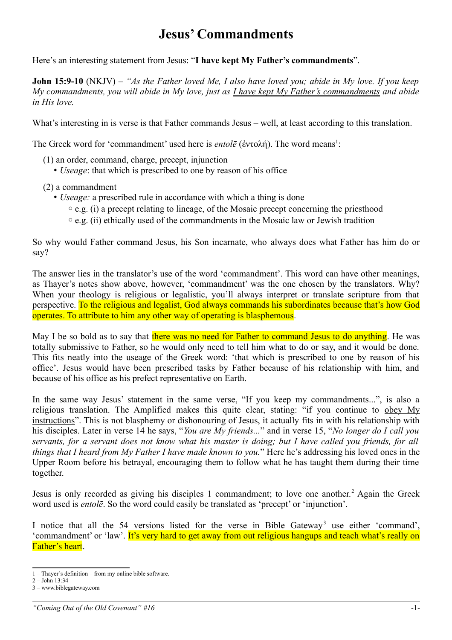## **Jesus' Commandments**

Here's an interesting statement from Jesus: "**I have kept My Father's commandments**".

**John 15:9-10** (NKJV) – *"As the Father loved Me, I also have loved you; abide in My love. If you keep My commandments, you will abide in My love, just as I have kept My Father's commandments and abide in His love.*

What's interesting in is verse is that Father commands Jesus – well, at least according to this translation.

The Greek word for 'commandment' used here is *entolē* (ἐντολή). The word means<sup>[1](#page-0-0)</sup>:

- (1) an order, command, charge, precept, injunction
	- *Useage*: that which is prescribed to one by reason of his office
- (2) a commandment
	- *Useage:* a prescribed rule in accordance with which a thing is done
		- ◦e.g. (i) a precept relating to lineage, of the Mosaic precept concerning the priesthood
		- ◦e.g. (ii) ethically used of the commandments in the Mosaic law or Jewish tradition

So why would Father command Jesus, his Son incarnate, who always does what Father has him do or say?

The answer lies in the translator's use of the word 'commandment'. This word can have other meanings, as Thayer's notes show above, however, 'commandment' was the one chosen by the translators. Why? When your theology is religious or legalistic, you'll always interpret or translate scripture from that perspective. To the religious and legalist, God always commands his subordinates because that's how God operates. To attribute to him any other way of operating is blasphemous.

May I be so bold as to say that there was no need for Father to command Jesus to do anything. He was totally submissive to Father, so he would only need to tell him what to do or say, and it would be done. This fits neatly into the useage of the Greek word: 'that which is prescribed to one by reason of his office'. Jesus would have been prescribed tasks by Father because of his relationship with him, and because of his office as his prefect representative on Earth.

In the same way Jesus' statement in the same verse, "If you keep my commandments...", is also a religious translation. The Amplified makes this quite clear, stating: "if you continue to obey My instructions". This is not blasphemy or dishonouring of Jesus, it actually fits in with his relationship with his disciples. Later in verse 14 he says, "*You are My friends...*" and in verse 15, "*No longer do I call you servants, for a servant does not know what his master is doing; but I have called you friends, for all things that I heard from My Father I have made known to you.*" Here he's addressing his loved ones in the Upper Room before his betrayal, encouraging them to follow what he has taught them during their time together.

Jesus is only recorded as giving his disciples 1 commandment; to love one another.<sup>[2](#page-0-1)</sup> Again the Greek word used is *entolē*. So the word could easily be translated as 'precept' or 'injunction'.

I notice that all the 54 versions listed for the verse in Bible Gateway<sup>[3](#page-0-2)</sup> use either 'command', 'commandment' or 'law'. It's very hard to get away from out religious hangups and teach what's really on Father's heart.

<span id="page-0-0"></span><sup>1 –</sup> Thayer's definition – from my online bible software.

<span id="page-0-1"></span><sup>2 –</sup> John 13:34

<span id="page-0-2"></span><sup>3 –</sup> www.biblegateway.com